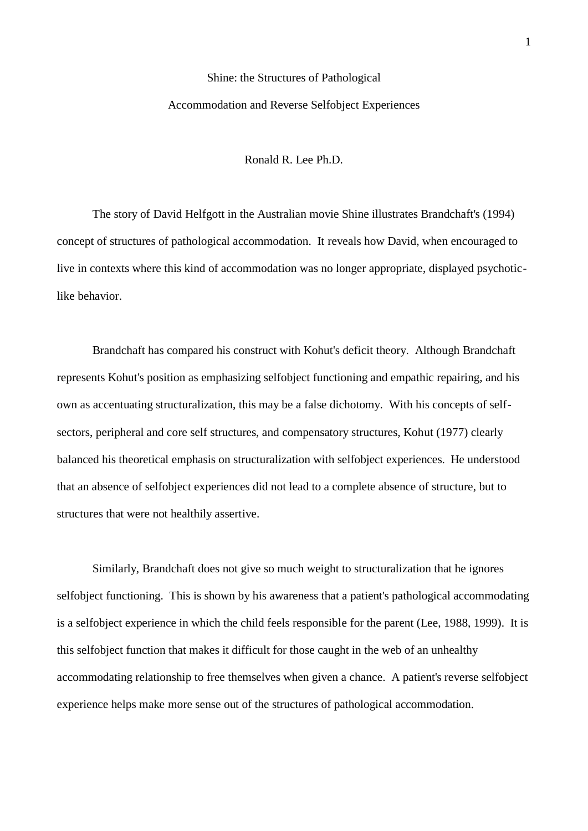#### Shine: the Structures of Pathological

# Accommodation and Reverse Selfobject Experiences

Ronald R. Lee Ph.D.

The story of David Helfgott in the Australian movie Shine illustrates Brandchaft's (1994) concept of structures of pathological accommodation. It reveals how David, when encouraged to live in contexts where this kind of accommodation was no longer appropriate, displayed psychoticlike behavior.

Brandchaft has compared his construct with Kohut's deficit theory. Although Brandchaft represents Kohut's position as emphasizing selfobject functioning and empathic repairing, and his own as accentuating structuralization, this may be a false dichotomy. With his concepts of selfsectors, peripheral and core self structures, and compensatory structures, Kohut (1977) clearly balanced his theoretical emphasis on structuralization with selfobject experiences. He understood that an absence of selfobject experiences did not lead to a complete absence of structure, but to structures that were not healthily assertive.

Similarly, Brandchaft does not give so much weight to structuralization that he ignores selfobject functioning. This is shown by his awareness that a patient's pathological accommodating is a selfobject experience in which the child feels responsible for the parent (Lee, 1988, 1999). It is this selfobject function that makes it difficult for those caught in the web of an unhealthy accommodating relationship to free themselves when given a chance. A patient's reverse selfobject experience helps make more sense out of the structures of pathological accommodation.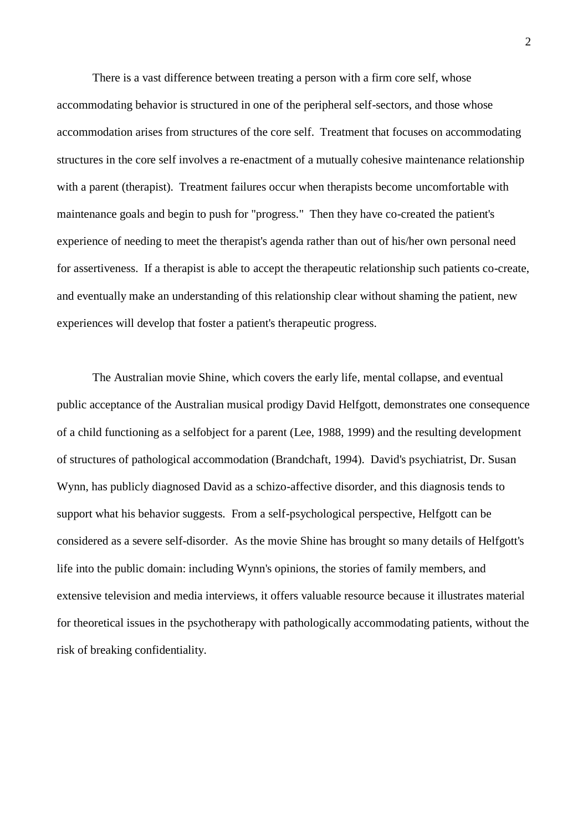There is a vast difference between treating a person with a firm core self, whose accommodating behavior is structured in one of the peripheral self-sectors, and those whose accommodation arises from structures of the core self. Treatment that focuses on accommodating structures in the core self involves a re-enactment of a mutually cohesive maintenance relationship with a parent (therapist). Treatment failures occur when therapists become uncomfortable with maintenance goals and begin to push for "progress." Then they have co-created the patient's experience of needing to meet the therapist's agenda rather than out of his/her own personal need for assertiveness. If a therapist is able to accept the therapeutic relationship such patients co-create, and eventually make an understanding of this relationship clear without shaming the patient, new experiences will develop that foster a patient's therapeutic progress.

The Australian movie Shine, which covers the early life, mental collapse, and eventual public acceptance of the Australian musical prodigy David Helfgott, demonstrates one consequence of a child functioning as a selfobject for a parent (Lee, 1988, 1999) and the resulting development of structures of pathological accommodation (Brandchaft, 1994). David's psychiatrist, Dr. Susan Wynn, has publicly diagnosed David as a schizo-affective disorder, and this diagnosis tends to support what his behavior suggests. From a self-psychological perspective, Helfgott can be considered as a severe self-disorder. As the movie Shine has brought so many details of Helfgott's life into the public domain: including Wynn's opinions, the stories of family members, and extensive television and media interviews, it offers valuable resource because it illustrates material for theoretical issues in the psychotherapy with pathologically accommodating patients, without the risk of breaking confidentiality.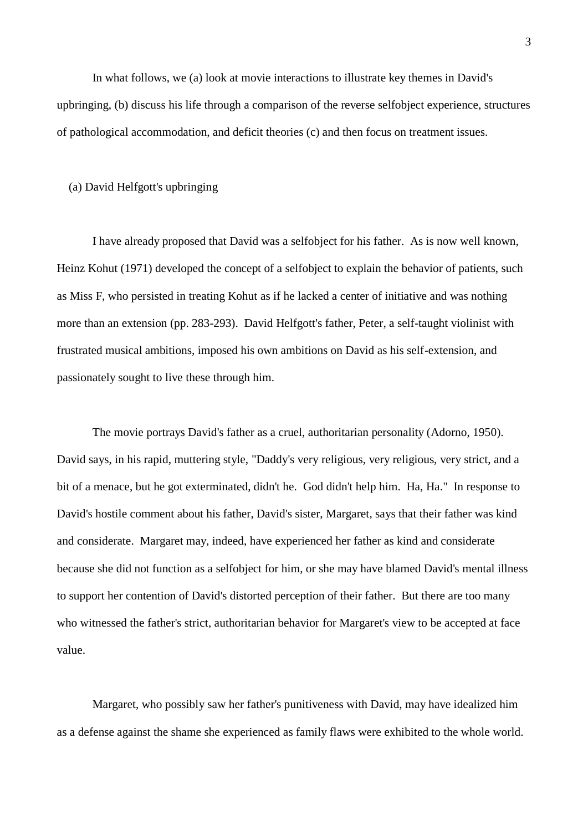In what follows, we (a) look at movie interactions to illustrate key themes in David's upbringing, (b) discuss his life through a comparison of the reverse selfobject experience, structures of pathological accommodation, and deficit theories (c) and then focus on treatment issues.

# (a) David Helfgott's upbringing

I have already proposed that David was a selfobject for his father. As is now well known, Heinz Kohut (1971) developed the concept of a selfobject to explain the behavior of patients, such as Miss F, who persisted in treating Kohut as if he lacked a center of initiative and was nothing more than an extension (pp. 283-293). David Helfgott's father, Peter, a self-taught violinist with frustrated musical ambitions, imposed his own ambitions on David as his self-extension, and passionately sought to live these through him.

The movie portrays David's father as a cruel, authoritarian personality (Adorno, 1950). David says, in his rapid, muttering style, "Daddy's very religious, very religious, very strict, and a bit of a menace, but he got exterminated, didn't he. God didn't help him. Ha, Ha." In response to David's hostile comment about his father, David's sister, Margaret, says that their father was kind and considerate. Margaret may, indeed, have experienced her father as kind and considerate because she did not function as a selfobject for him, or she may have blamed David's mental illness to support her contention of David's distorted perception of their father. But there are too many who witnessed the father's strict, authoritarian behavior for Margaret's view to be accepted at face value.

Margaret, who possibly saw her father's punitiveness with David, may have idealized him as a defense against the shame she experienced as family flaws were exhibited to the whole world.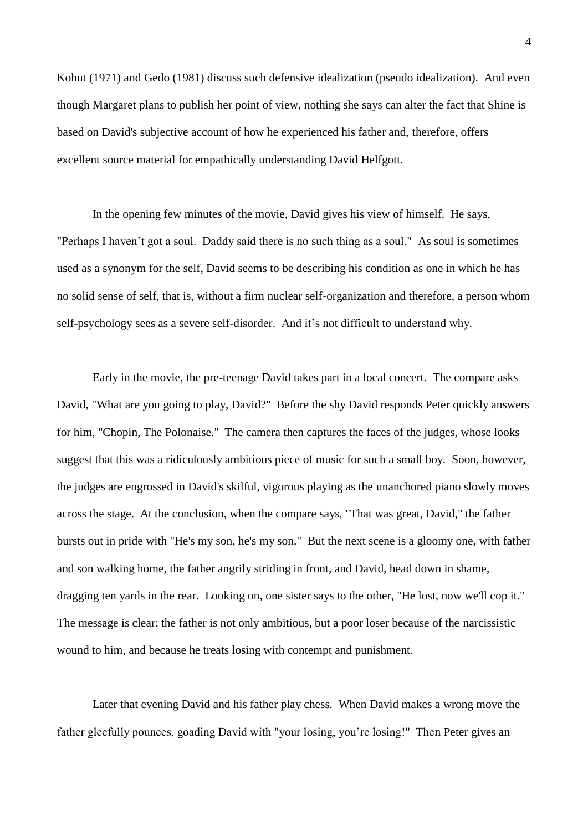Kohut (1971) and Gedo (1981) discuss such defensive idealization (pseudo idealization). And even though Margaret plans to publish her point of view, nothing she says can alter the fact that Shine is based on David's subjective account of how he experienced his father and, therefore, offers excellent source material for empathically understanding David Helfgott.

In the opening few minutes of the movie, David gives his view of himself. He says, "Perhaps I haven't got a soul. Daddy said there is no such thing as a soul." As soul is sometimes used as a synonym for the self, David seems to be describing his condition as one in which he has no solid sense of self, that is, without a firm nuclear self-organization and therefore, a person whom self-psychology sees as a severe self-disorder. And it's not difficult to understand why.

Early in the movie, the pre-teenage David takes part in a local concert. The compare asks David, "What are you going to play, David?" Before the shy David responds Peter quickly answers for him, "Chopin, The Polonaise." The camera then captures the faces of the judges, whose looks suggest that this was a ridiculously ambitious piece of music for such a small boy. Soon, however, the judges are engrossed in David's skilful, vigorous playing as the unanchored piano slowly moves across the stage. At the conclusion, when the compare says, "That was great, David," the father bursts out in pride with "He's my son, he's my son." But the next scene is a gloomy one, with father and son walking home, the father angrily striding in front, and David, head down in shame, dragging ten yards in the rear. Looking on, one sister says to the other, "He lost, now we'll cop it." The message is clear: the father is not only ambitious, but a poor loser because of the narcissistic wound to him, and because he treats losing with contempt and punishment.

Later that evening David and his father play chess. When David makes a wrong move the father gleefully pounces, goading David with "your losing, you're losing!" Then Peter gives an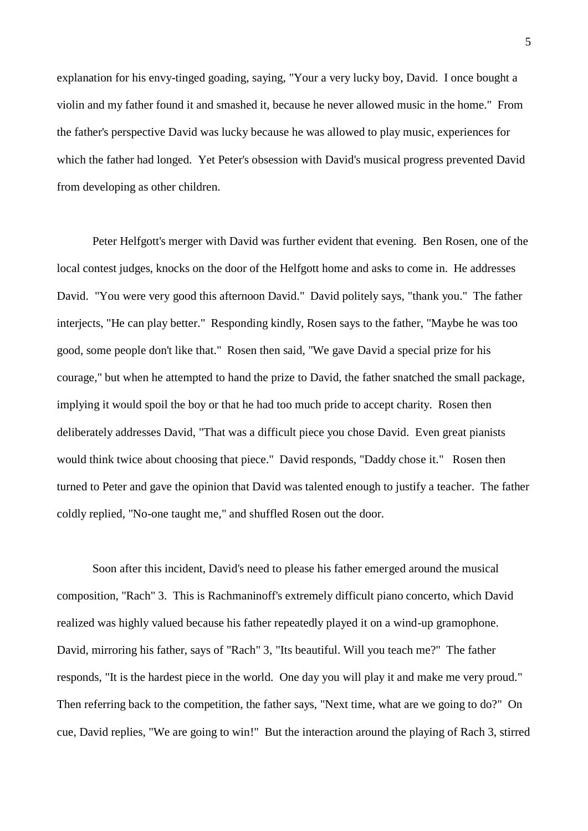explanation for his envy-tinged goading, saying, "Your a very lucky boy, David. I once bought a violin and my father found it and smashed it, because he never allowed music in the home." From the father's perspective David was lucky because he was allowed to play music, experiences for which the father had longed. Yet Peter's obsession with David's musical progress prevented David from developing as other children.

Peter Helfgott's merger with David was further evident that evening. Ben Rosen, one of the local contest judges, knocks on the door of the Helfgott home and asks to come in. He addresses David. "You were very good this afternoon David." David politely says, "thank you." The father interjects, "He can play better." Responding kindly, Rosen says to the father, "Maybe he was too good, some people don't like that." Rosen then said, "We gave David a special prize for his courage," but when he attempted to hand the prize to David, the father snatched the small package, implying it would spoil the boy or that he had too much pride to accept charity. Rosen then deliberately addresses David, "That was a difficult piece you chose David. Even great pianists would think twice about choosing that piece." David responds, "Daddy chose it." Rosen then turned to Peter and gave the opinion that David was talented enough to justify a teacher. The father coldly replied, "No-one taught me," and shuffled Rosen out the door.

Soon after this incident, David's need to please his father emerged around the musical composition, "Rach" 3. This is Rachmaninoff's extremely difficult piano concerto, which David realized was highly valued because his father repeatedly played it on a wind-up gramophone. David, mirroring his father, says of "Rach" 3, "Its beautiful. Will you teach me?" The father responds, "It is the hardest piece in the world. One day you will play it and make me very proud." Then referring back to the competition, the father says, "Next time, what are we going to do?" On cue, David replies, "We are going to win!" But the interaction around the playing of Rach 3, stirred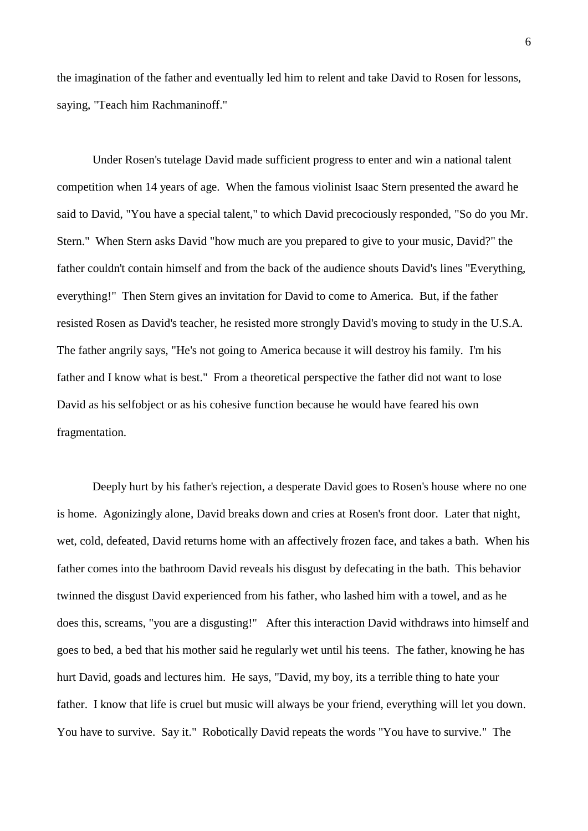the imagination of the father and eventually led him to relent and take David to Rosen for lessons, saying, "Teach him Rachmaninoff."

Under Rosen's tutelage David made sufficient progress to enter and win a national talent competition when 14 years of age. When the famous violinist Isaac Stern presented the award he said to David, "You have a special talent," to which David precociously responded, "So do you Mr. Stern." When Stern asks David "how much are you prepared to give to your music, David?" the father couldn't contain himself and from the back of the audience shouts David's lines "Everything, everything!" Then Stern gives an invitation for David to come to America. But, if the father resisted Rosen as David's teacher, he resisted more strongly David's moving to study in the U.S.A. The father angrily says, "He's not going to America because it will destroy his family. I'm his father and I know what is best." From a theoretical perspective the father did not want to lose David as his selfobject or as his cohesive function because he would have feared his own fragmentation.

Deeply hurt by his father's rejection, a desperate David goes to Rosen's house where no one is home. Agonizingly alone, David breaks down and cries at Rosen's front door. Later that night, wet, cold, defeated, David returns home with an affectively frozen face, and takes a bath. When his father comes into the bathroom David reveals his disgust by defecating in the bath. This behavior twinned the disgust David experienced from his father, who lashed him with a towel, and as he does this, screams, "you are a disgusting!" After this interaction David withdraws into himself and goes to bed, a bed that his mother said he regularly wet until his teens. The father, knowing he has hurt David, goads and lectures him. He says, "David, my boy, its a terrible thing to hate your father. I know that life is cruel but music will always be your friend, everything will let you down. You have to survive. Say it." Robotically David repeats the words "You have to survive." The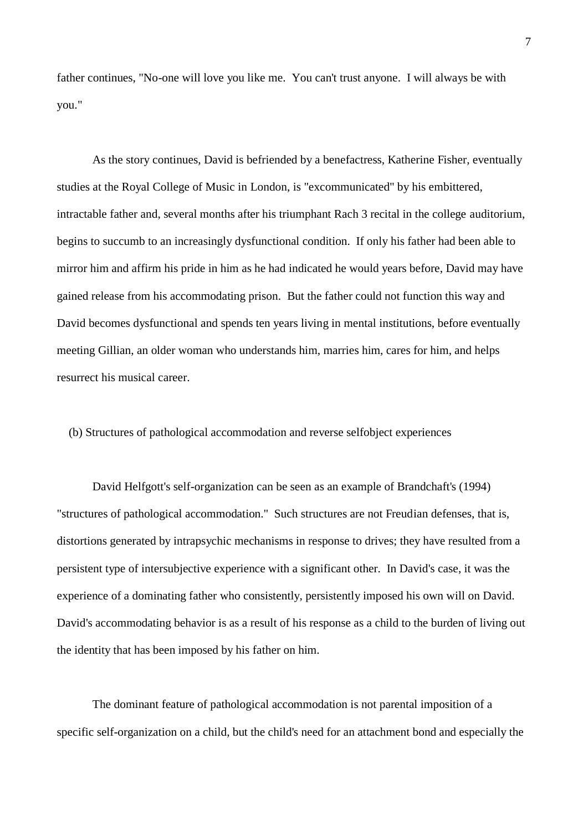father continues, "No-one will love you like me. You can't trust anyone. I will always be with you."

As the story continues, David is befriended by a benefactress, Katherine Fisher, eventually studies at the Royal College of Music in London, is "excommunicated" by his embittered, intractable father and, several months after his triumphant Rach 3 recital in the college auditorium, begins to succumb to an increasingly dysfunctional condition. If only his father had been able to mirror him and affirm his pride in him as he had indicated he would years before, David may have gained release from his accommodating prison. But the father could not function this way and David becomes dysfunctional and spends ten years living in mental institutions, before eventually meeting Gillian, an older woman who understands him, marries him, cares for him, and helps resurrect his musical career.

(b) Structures of pathological accommodation and reverse selfobject experiences

David Helfgott's self-organization can be seen as an example of Brandchaft's (1994) "structures of pathological accommodation." Such structures are not Freudian defenses, that is, distortions generated by intrapsychic mechanisms in response to drives; they have resulted from a persistent type of intersubjective experience with a significant other. In David's case, it was the experience of a dominating father who consistently, persistently imposed his own will on David. David's accommodating behavior is as a result of his response as a child to the burden of living out the identity that has been imposed by his father on him.

The dominant feature of pathological accommodation is not parental imposition of a specific self-organization on a child, but the child's need for an attachment bond and especially the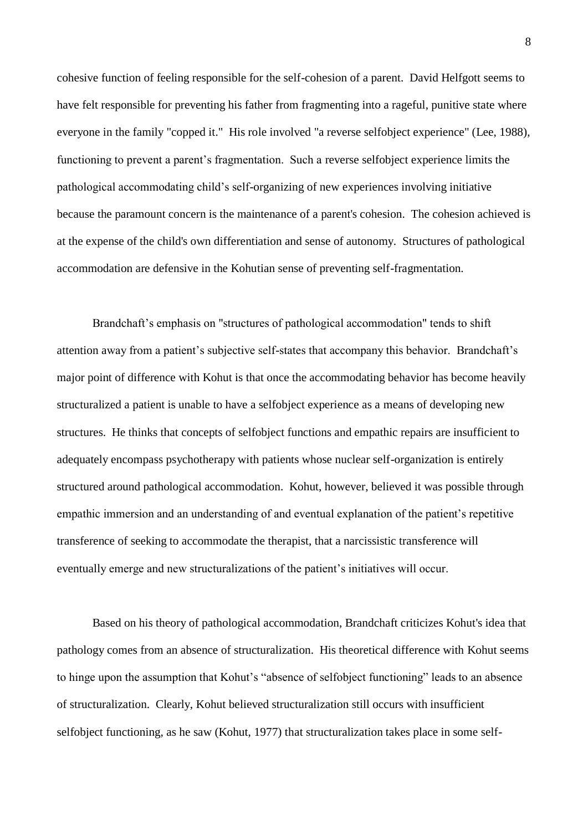cohesive function of feeling responsible for the self-cohesion of a parent. David Helfgott seems to have felt responsible for preventing his father from fragmenting into a rageful, punitive state where everyone in the family "copped it." His role involved "a reverse selfobject experience" (Lee, 1988), functioning to prevent a parent's fragmentation. Such a reverse selfobject experience limits the pathological accommodating child's self-organizing of new experiences involving initiative because the paramount concern is the maintenance of a parent's cohesion. The cohesion achieved is at the expense of the child's own differentiation and sense of autonomy. Structures of pathological accommodation are defensive in the Kohutian sense of preventing self-fragmentation.

Brandchaft's emphasis on "structures of pathological accommodation" tends to shift attention away from a patient's subjective self-states that accompany this behavior. Brandchaft's major point of difference with Kohut is that once the accommodating behavior has become heavily structuralized a patient is unable to have a selfobject experience as a means of developing new structures. He thinks that concepts of selfobject functions and empathic repairs are insufficient to adequately encompass psychotherapy with patients whose nuclear self-organization is entirely structured around pathological accommodation. Kohut, however, believed it was possible through empathic immersion and an understanding of and eventual explanation of the patient's repetitive transference of seeking to accommodate the therapist, that a narcissistic transference will eventually emerge and new structuralizations of the patient's initiatives will occur.

Based on his theory of pathological accommodation, Brandchaft criticizes Kohut's idea that pathology comes from an absence of structuralization. His theoretical difference with Kohut seems to hinge upon the assumption that Kohut's "absence of selfobject functioning" leads to an absence of structuralization. Clearly, Kohut believed structuralization still occurs with insufficient selfobject functioning, as he saw (Kohut, 1977) that structuralization takes place in some self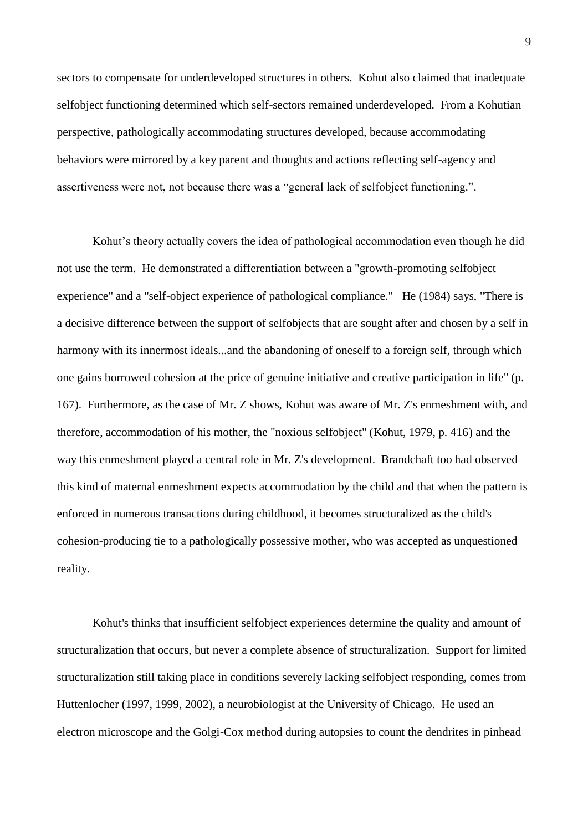sectors to compensate for underdeveloped structures in others. Kohut also claimed that inadequate selfobject functioning determined which self-sectors remained underdeveloped. From a Kohutian perspective, pathologically accommodating structures developed, because accommodating behaviors were mirrored by a key parent and thoughts and actions reflecting self-agency and assertiveness were not, not because there was a "general lack of selfobject functioning.".

Kohut's theory actually covers the idea of pathological accommodation even though he did not use the term. He demonstrated a differentiation between a "growth-promoting selfobject experience" and a "self-object experience of pathological compliance." He (1984) says, "There is a decisive difference between the support of selfobjects that are sought after and chosen by a self in harmony with its innermost ideals...and the abandoning of oneself to a foreign self, through which one gains borrowed cohesion at the price of genuine initiative and creative participation in life" (p. 167). Furthermore, as the case of Mr. Z shows, Kohut was aware of Mr. Z's enmeshment with, and therefore, accommodation of his mother, the "noxious selfobject" (Kohut, 1979, p. 416) and the way this enmeshment played a central role in Mr. Z's development. Brandchaft too had observed this kind of maternal enmeshment expects accommodation by the child and that when the pattern is enforced in numerous transactions during childhood, it becomes structuralized as the child's cohesion-producing tie to a pathologically possessive mother, who was accepted as unquestioned reality.

Kohut's thinks that insufficient selfobject experiences determine the quality and amount of structuralization that occurs, but never a complete absence of structuralization. Support for limited structuralization still taking place in conditions severely lacking selfobject responding, comes from Huttenlocher (1997, 1999, 2002), a neurobiologist at the University of Chicago. He used an electron microscope and the Golgi-Cox method during autopsies to count the dendrites in pinhead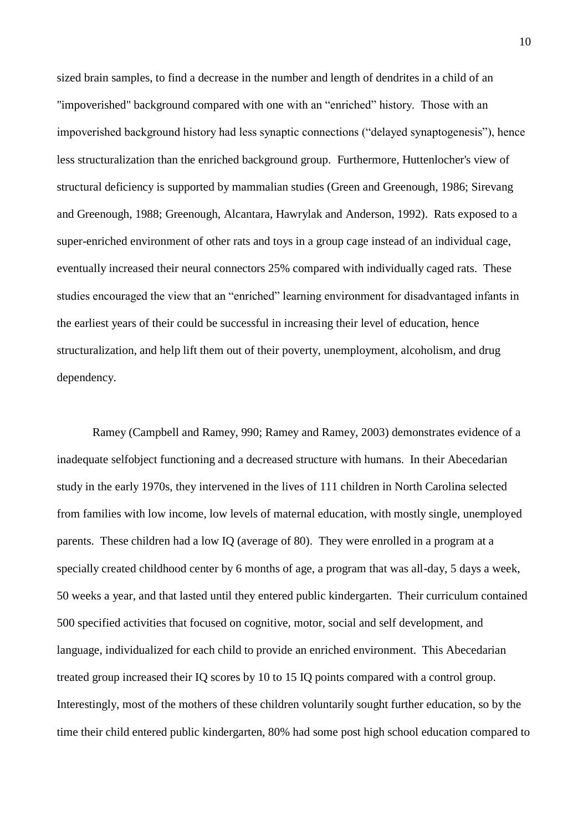sized brain samples, to find a decrease in the number and length of dendrites in a child of an "impoverished" background compared with one with an "enriched" history. Those with an impoverished background history had less synaptic connections ("delayed synaptogenesis"), hence less structuralization than the enriched background group. Furthermore, Huttenlocher's view of structural deficiency is supported by mammalian studies (Green and Greenough, 1986; Sirevang and Greenough, 1988; Greenough, Alcantara, Hawrylak and Anderson, 1992). Rats exposed to a super-enriched environment of other rats and toys in a group cage instead of an individual cage, eventually increased their neural connectors 25% compared with individually caged rats. These studies encouraged the view that an "enriched" learning environment for disadvantaged infants in the earliest years of their could be successful in increasing their level of education, hence structuralization, and help lift them out of their poverty, unemployment, alcoholism, and drug dependency.

Ramey (Campbell and Ramey, 990; Ramey and Ramey, 2003) demonstrates evidence of a inadequate selfobject functioning and a decreased structure with humans. In their Abecedarian study in the early 1970s, they intervened in the lives of 111 children in North Carolina selected from families with low income, low levels of maternal education, with mostly single, unemployed parents. These children had a low IQ (average of 80). They were enrolled in a program at a specially created childhood center by 6 months of age, a program that was all-day, 5 days a week, 50 weeks a year, and that lasted until they entered public kindergarten. Their curriculum contained 500 specified activities that focused on cognitive, motor, social and self development, and language, individualized for each child to provide an enriched environment. This Abecedarian treated group increased their IQ scores by 10 to 15 IQ points compared with a control group. Interestingly, most of the mothers of these children voluntarily sought further education, so by the time their child entered public kindergarten, 80% had some post high school education compared to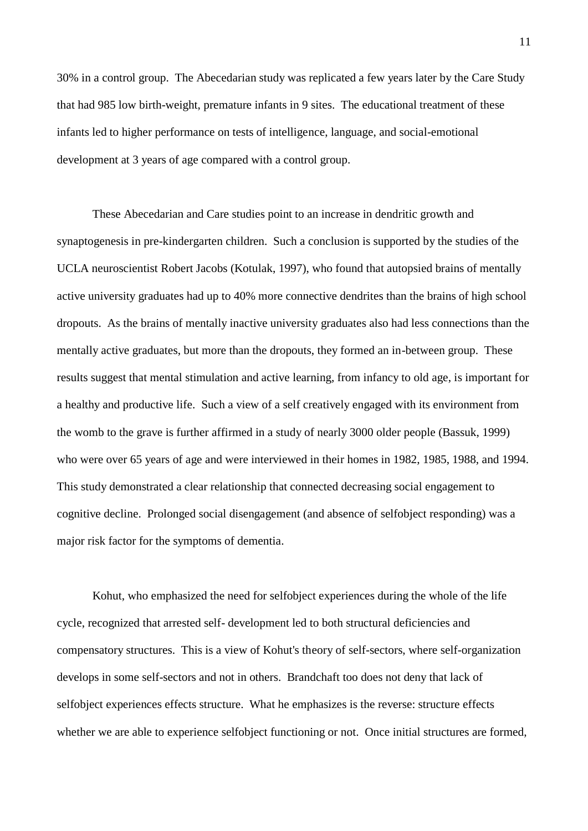30% in a control group. The Abecedarian study was replicated a few years later by the Care Study that had 985 low birth-weight, premature infants in 9 sites. The educational treatment of these infants led to higher performance on tests of intelligence, language, and social-emotional development at 3 years of age compared with a control group.

These Abecedarian and Care studies point to an increase in dendritic growth and synaptogenesis in pre-kindergarten children. Such a conclusion is supported by the studies of the UCLA neuroscientist Robert Jacobs (Kotulak, 1997), who found that autopsied brains of mentally active university graduates had up to 40% more connective dendrites than the brains of high school dropouts. As the brains of mentally inactive university graduates also had less connections than the mentally active graduates, but more than the dropouts, they formed an in-between group. These results suggest that mental stimulation and active learning, from infancy to old age, is important for a healthy and productive life. Such a view of a self creatively engaged with its environment from the womb to the grave is further affirmed in a study of nearly 3000 older people (Bassuk, 1999) who were over 65 years of age and were interviewed in their homes in 1982, 1985, 1988, and 1994. This study demonstrated a clear relationship that connected decreasing social engagement to cognitive decline. Prolonged social disengagement (and absence of selfobject responding) was a major risk factor for the symptoms of dementia.

Kohut, who emphasized the need for selfobject experiences during the whole of the life cycle, recognized that arrested self- development led to both structural deficiencies and compensatory structures. This is a view of Kohut's theory of self-sectors, where self-organization develops in some self-sectors and not in others. Brandchaft too does not deny that lack of selfobject experiences effects structure. What he emphasizes is the reverse: structure effects whether we are able to experience selfobject functioning or not. Once initial structures are formed,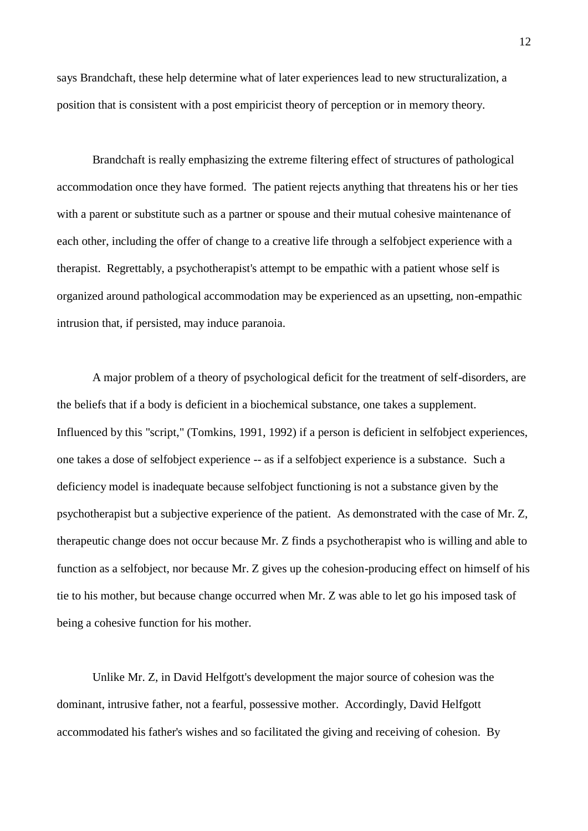says Brandchaft, these help determine what of later experiences lead to new structuralization, a position that is consistent with a post empiricist theory of perception or in memory theory.

Brandchaft is really emphasizing the extreme filtering effect of structures of pathological accommodation once they have formed. The patient rejects anything that threatens his or her ties with a parent or substitute such as a partner or spouse and their mutual cohesive maintenance of each other, including the offer of change to a creative life through a selfobject experience with a therapist. Regrettably, a psychotherapist's attempt to be empathic with a patient whose self is organized around pathological accommodation may be experienced as an upsetting, non-empathic intrusion that, if persisted, may induce paranoia.

A major problem of a theory of psychological deficit for the treatment of self-disorders, are the beliefs that if a body is deficient in a biochemical substance, one takes a supplement. Influenced by this "script," (Tomkins, 1991, 1992) if a person is deficient in selfobject experiences, one takes a dose of selfobject experience -- as if a selfobject experience is a substance. Such a deficiency model is inadequate because selfobject functioning is not a substance given by the psychotherapist but a subjective experience of the patient. As demonstrated with the case of Mr. Z, therapeutic change does not occur because Mr. Z finds a psychotherapist who is willing and able to function as a selfobject, nor because Mr. Z gives up the cohesion-producing effect on himself of his tie to his mother, but because change occurred when Mr. Z was able to let go his imposed task of being a cohesive function for his mother.

Unlike Mr. Z, in David Helfgott's development the major source of cohesion was the dominant, intrusive father, not a fearful, possessive mother. Accordingly, David Helfgott accommodated his father's wishes and so facilitated the giving and receiving of cohesion. By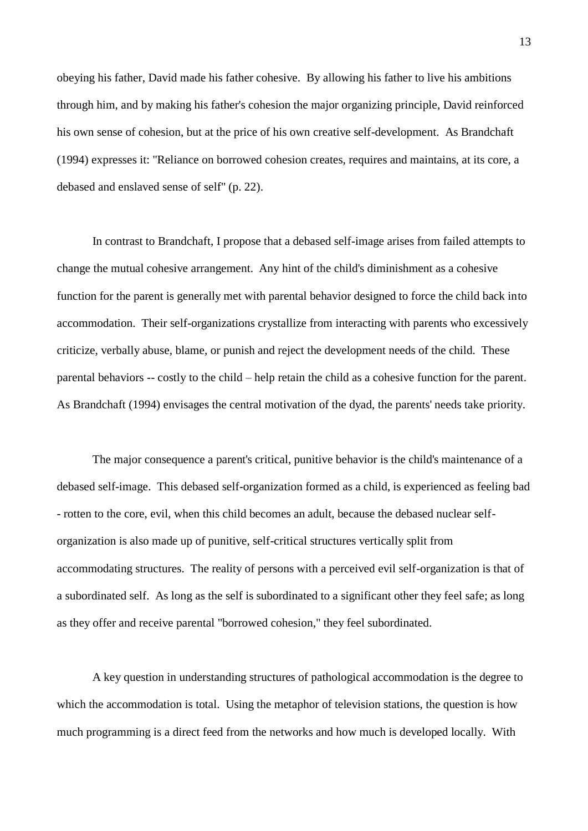obeying his father, David made his father cohesive. By allowing his father to live his ambitions through him, and by making his father's cohesion the major organizing principle, David reinforced his own sense of cohesion, but at the price of his own creative self-development. As Brandchaft (1994) expresses it: "Reliance on borrowed cohesion creates, requires and maintains, at its core, a debased and enslaved sense of self" (p. 22).

In contrast to Brandchaft, I propose that a debased self-image arises from failed attempts to change the mutual cohesive arrangement. Any hint of the child's diminishment as a cohesive function for the parent is generally met with parental behavior designed to force the child back into accommodation. Their self-organizations crystallize from interacting with parents who excessively criticize, verbally abuse, blame, or punish and reject the development needs of the child. These parental behaviors -- costly to the child – help retain the child as a cohesive function for the parent. As Brandchaft (1994) envisages the central motivation of the dyad, the parents' needs take priority.

The major consequence a parent's critical, punitive behavior is the child's maintenance of a debased self-image. This debased self-organization formed as a child, is experienced as feeling bad - rotten to the core, evil, when this child becomes an adult, because the debased nuclear selforganization is also made up of punitive, self-critical structures vertically split from accommodating structures. The reality of persons with a perceived evil self-organization is that of a subordinated self. As long as the self is subordinated to a significant other they feel safe; as long as they offer and receive parental "borrowed cohesion," they feel subordinated.

A key question in understanding structures of pathological accommodation is the degree to which the accommodation is total. Using the metaphor of television stations, the question is how much programming is a direct feed from the networks and how much is developed locally. With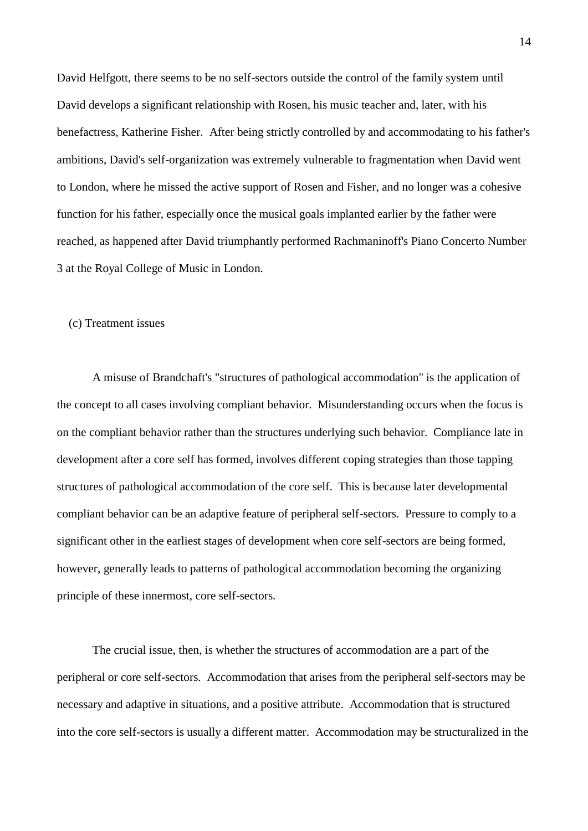David Helfgott, there seems to be no self-sectors outside the control of the family system until David develops a significant relationship with Rosen, his music teacher and, later, with his benefactress, Katherine Fisher. After being strictly controlled by and accommodating to his father's ambitions, David's self-organization was extremely vulnerable to fragmentation when David went to London, where he missed the active support of Rosen and Fisher, and no longer was a cohesive function for his father, especially once the musical goals implanted earlier by the father were reached, as happened after David triumphantly performed Rachmaninoff's Piano Concerto Number 3 at the Royal College of Music in London.

# (c) Treatment issues

A misuse of Brandchaft's "structures of pathological accommodation" is the application of the concept to all cases involving compliant behavior. Misunderstanding occurs when the focus is on the compliant behavior rather than the structures underlying such behavior. Compliance late in development after a core self has formed, involves different coping strategies than those tapping structures of pathological accommodation of the core self. This is because later developmental compliant behavior can be an adaptive feature of peripheral self-sectors. Pressure to comply to a significant other in the earliest stages of development when core self-sectors are being formed, however, generally leads to patterns of pathological accommodation becoming the organizing principle of these innermost, core self-sectors.

The crucial issue, then, is whether the structures of accommodation are a part of the peripheral or core self-sectors. Accommodation that arises from the peripheral self-sectors may be necessary and adaptive in situations, and a positive attribute. Accommodation that is structured into the core self-sectors is usually a different matter. Accommodation may be structuralized in the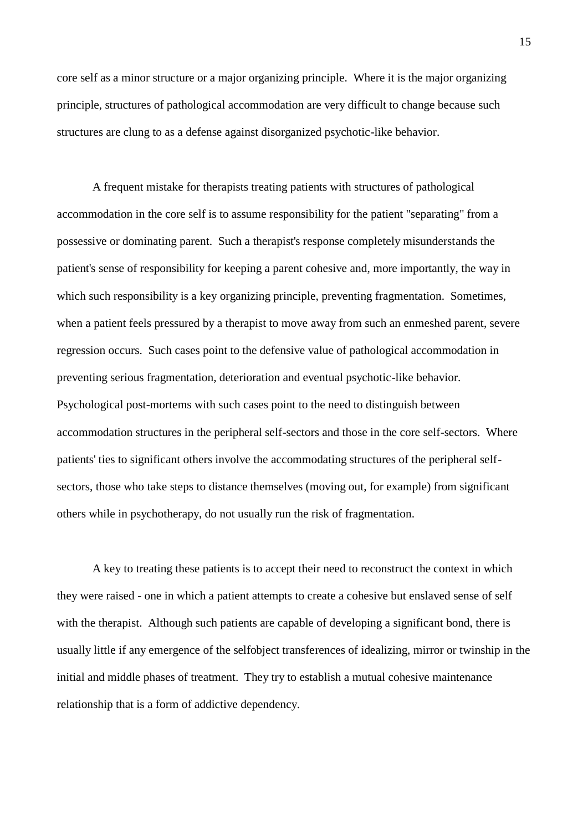core self as a minor structure or a major organizing principle. Where it is the major organizing principle, structures of pathological accommodation are very difficult to change because such structures are clung to as a defense against disorganized psychotic-like behavior.

A frequent mistake for therapists treating patients with structures of pathological accommodation in the core self is to assume responsibility for the patient "separating" from a possessive or dominating parent. Such a therapist's response completely misunderstands the patient's sense of responsibility for keeping a parent cohesive and, more importantly, the way in which such responsibility is a key organizing principle, preventing fragmentation. Sometimes, when a patient feels pressured by a therapist to move away from such an enmeshed parent, severe regression occurs. Such cases point to the defensive value of pathological accommodation in preventing serious fragmentation, deterioration and eventual psychotic-like behavior. Psychological post-mortems with such cases point to the need to distinguish between accommodation structures in the peripheral self-sectors and those in the core self-sectors. Where patients' ties to significant others involve the accommodating structures of the peripheral selfsectors, those who take steps to distance themselves (moving out, for example) from significant others while in psychotherapy, do not usually run the risk of fragmentation.

A key to treating these patients is to accept their need to reconstruct the context in which they were raised - one in which a patient attempts to create a cohesive but enslaved sense of self with the therapist. Although such patients are capable of developing a significant bond, there is usually little if any emergence of the selfobject transferences of idealizing, mirror or twinship in the initial and middle phases of treatment. They try to establish a mutual cohesive maintenance relationship that is a form of addictive dependency.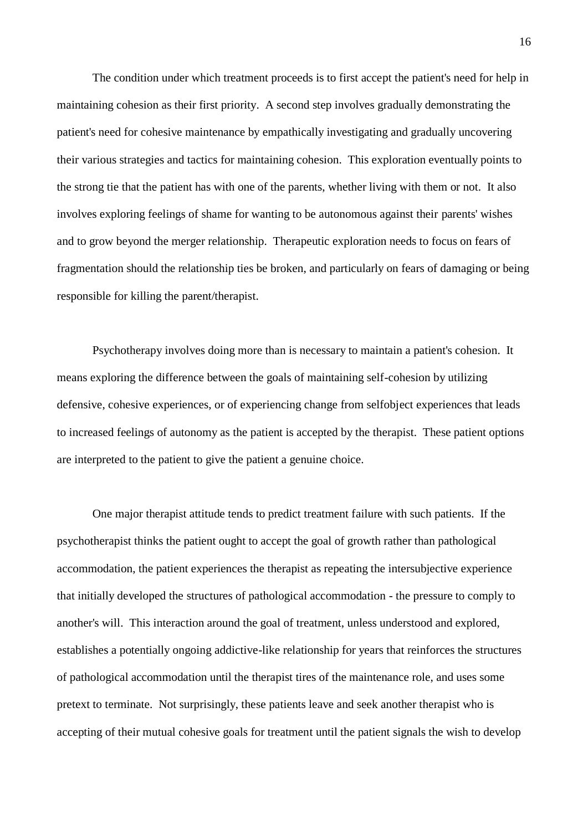The condition under which treatment proceeds is to first accept the patient's need for help in maintaining cohesion as their first priority. A second step involves gradually demonstrating the patient's need for cohesive maintenance by empathically investigating and gradually uncovering their various strategies and tactics for maintaining cohesion. This exploration eventually points to the strong tie that the patient has with one of the parents, whether living with them or not. It also involves exploring feelings of shame for wanting to be autonomous against their parents' wishes and to grow beyond the merger relationship. Therapeutic exploration needs to focus on fears of fragmentation should the relationship ties be broken, and particularly on fears of damaging or being responsible for killing the parent/therapist.

Psychotherapy involves doing more than is necessary to maintain a patient's cohesion. It means exploring the difference between the goals of maintaining self-cohesion by utilizing defensive, cohesive experiences, or of experiencing change from selfobject experiences that leads to increased feelings of autonomy as the patient is accepted by the therapist. These patient options are interpreted to the patient to give the patient a genuine choice.

One major therapist attitude tends to predict treatment failure with such patients. If the psychotherapist thinks the patient ought to accept the goal of growth rather than pathological accommodation, the patient experiences the therapist as repeating the intersubjective experience that initially developed the structures of pathological accommodation - the pressure to comply to another's will. This interaction around the goal of treatment, unless understood and explored, establishes a potentially ongoing addictive-like relationship for years that reinforces the structures of pathological accommodation until the therapist tires of the maintenance role, and uses some pretext to terminate. Not surprisingly, these patients leave and seek another therapist who is accepting of their mutual cohesive goals for treatment until the patient signals the wish to develop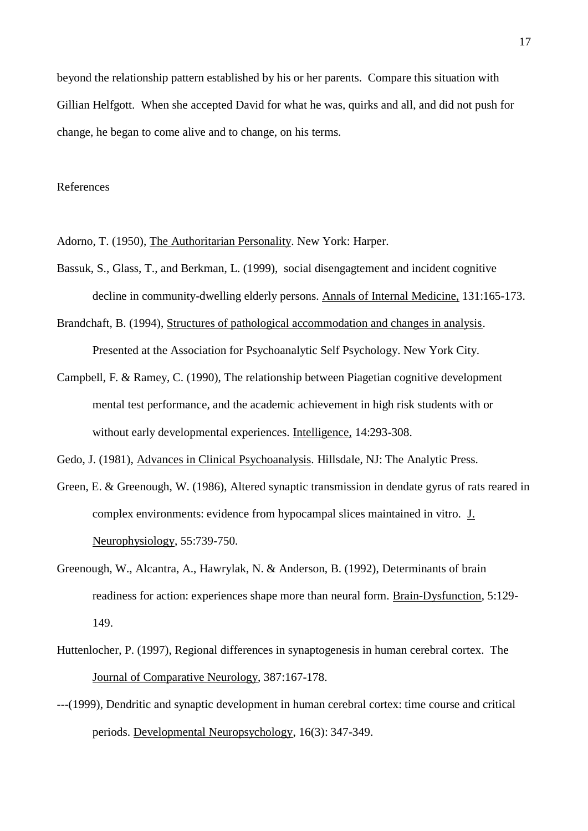beyond the relationship pattern established by his or her parents. Compare this situation with Gillian Helfgott. When she accepted David for what he was, quirks and all, and did not push for change, he began to come alive and to change, on his terms.

# References

Adorno, T. (1950), The Authoritarian Personality. New York: Harper.

- Bassuk, S., Glass, T., and Berkman, L. (1999), social disengagtement and incident cognitive decline in community-dwelling elderly persons. Annals of Internal Medicine, 131:165-173.
- Brandchaft, B. (1994), Structures of pathological accommodation and changes in analysis. Presented at the Association for Psychoanalytic Self Psychology. New York City.
- Campbell, F. & Ramey, C. (1990), The relationship between Piagetian cognitive development mental test performance, and the academic achievement in high risk students with or without early developmental experiences. Intelligence, 14:293-308.
- Gedo, J. (1981), Advances in Clinical Psychoanalysis. Hillsdale, NJ: The Analytic Press.
- Green, E. & Greenough, W. (1986), Altered synaptic transmission in dendate gyrus of rats reared in complex environments: evidence from hypocampal slices maintained in vitro. J. Neurophysiology, 55:739-750.
- Greenough, W., Alcantra, A., Hawrylak, N. & Anderson, B. (1992), Determinants of brain readiness for action: experiences shape more than neural form. Brain-Dysfunction, 5:129- 149.
- Huttenlocher, P. (1997), Regional differences in synaptogenesis in human cerebral cortex. The Journal of Comparative Neurology, 387:167-178.
- ---(1999), Dendritic and synaptic development in human cerebral cortex: time course and critical periods. Developmental Neuropsychology, 16(3): 347-349.